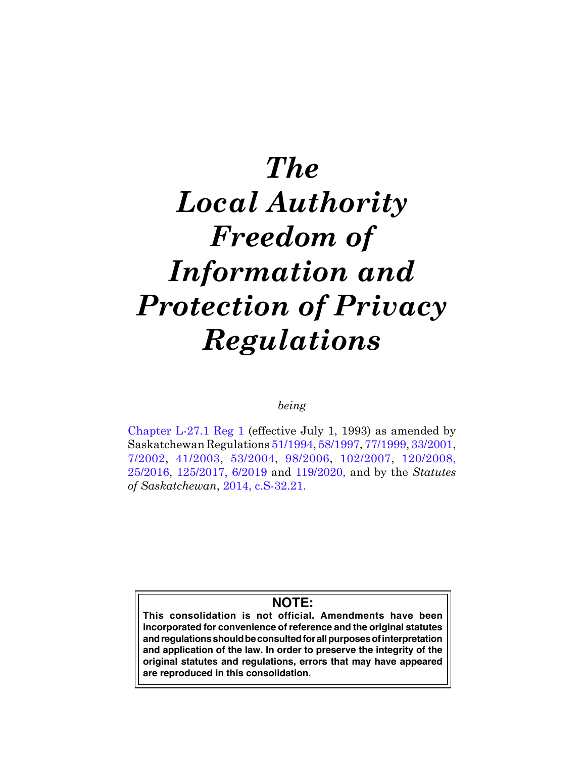# *The Local Authority Freedom of Information and Protection of Privacy Regulations*

# *being*

[Chapter L-27.1 Reg 1](https://publications.saskatchewan.ca:443/api/v1/products/66649/formats/73980/download) (effective July 1, 1993) as amended by Saskatchewan Regulations [51/1994](https://publications.saskatchewan.ca:443/api/v1/products/4014/formats/7618/download), [58/1997,](https://publications.saskatchewan.ca:443/api/v1/products/3917/formats/7424/download) [77/1999,](https://publications.saskatchewan.ca:443/api/v1/products/3328/formats/6247/download) [33/2001](https://publications.saskatchewan.ca:443/api/v1/products/3170/formats/5931/download), [7/2002,](https://publications.saskatchewan.ca:443/api/v1/products/4148/formats/7886/download) [41/2003](https://publications.saskatchewan.ca:443/api/v1/products/4409/formats/8399/download), [53/2004](https://publications.saskatchewan.ca:443/api/v1/products/9214/formats/13900/download), [98/2006,](https://publications.saskatchewan.ca:443/api/v1/products/12559/formats/18786/download) [102/2007,](https://publications.saskatchewan.ca:443/api/v1/products/23750/formats/30562/download) [120/2008](https://publications.saskatchewan.ca:443/api/v1/products/26890/formats/34129/download), [25/2016,](https://publications.saskatchewan.ca:443/api/v1/products/78447/formats/88179/download) [125/2017,](https://publications.saskatchewan.ca:443/api/v1/products/88328/formats/105010/download) [6/2019](https://publications.saskatchewan.ca:443/api/v1/products/92944/formats/110046/download) and [119/2020](https://publications.saskatchewan.ca:443/api/v1/products/109616/formats/123135/download), and by the *Statutes of Saskatchewan*, [2014, c.S-32.2](https://publications.saskatchewan.ca:443/api/v1/products/70628/formats/78519/download)1.

# **NOTE:**

**This consolidation is not official. Amendments have been incorporated for convenience of reference and the original statutes and regulations should be consulted for all purposes of interpretation and application of the law. In order to preserve the integrity of the original statutes and regulations, errors that may have appeared are reproduced in this consolidation.**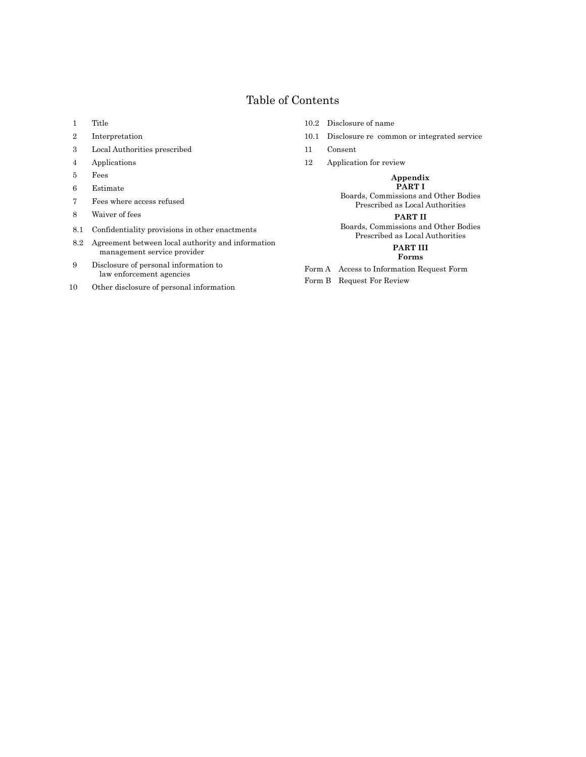# Table of Contents

- 1 Title
- 2 Interpretation
- 3 Local Authorities prescribed
- 4 Applications
- 5 Fees
- 6 Estimate
- 7 Fees where access refused
- 8 Waiver of fees
- 8.1 Confidentiality provisions in other enactments
- 8.2 Agreement between local authority and information management service provider
- 9 Disclosure of personal information to law enforcement agencies
- 10 Other disclosure of personal information
- 10.2 Disclosure of name
- 10.1 Disclosure re common or integrated service
- 11 Consent
- 12 Application for review

# **Appendix**

**PART I** Boards, Commissions and Other Bodies Prescribed as Local Authorities

#### **PART II**

Boards, Commissions and Other Bodies Prescribed as Local Authorities

# **PART III**

## **Forms**

Form A Access to Information Request Form

Form B Request For Review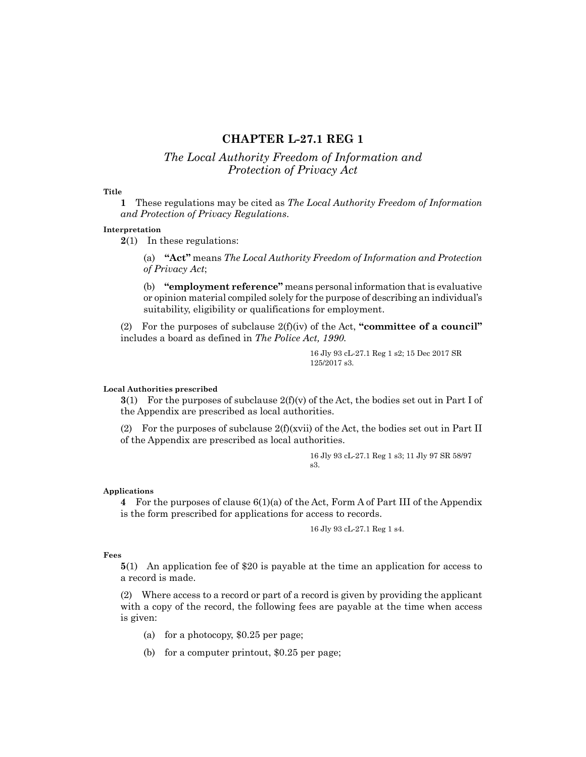# **CHAPTER L-27.1 REG 1**

# *The Local Authority Freedom of Information and Protection of Privacy Act*

#### **Title**

**1** These regulations may be cited as *The Local Authority Freedom of Information and Protection of Privacy Regulations*.

#### **Interpretation**

**2**(1) In these regulations:

(a) **"Act"** means *The Local Authority Freedom of Information and Protection of Privacy Act*;

(b) **"employment reference"** means personal information that is evaluative or opinion material compiled solely for the purpose of describing an individual's suitability, eligibility or qualifications for employment.

(2) For the purposes of subclause 2(f)(iv) of the Act, **"committee of a council"**  includes a board as defined in *The Police Act, 1990.*

> 16 Jly 93 cL-27.1 Reg 1 s2; 15 Dec 2017 SR 125/2017 s3.

## **Local Authorities prescribed**

**3**(1) For the purposes of subclause  $2(f)(v)$  of the Act, the bodies set out in Part I of the Appendix are prescribed as local authorities.

(2) For the purposes of subclause  $2(f)(xvi)$  of the Act, the bodies set out in Part II of the Appendix are prescribed as local authorities.

> 16 Jly 93 cL-27.1 Reg 1 s3; 11 Jly 97 SR 58/97 s3.

#### **Applications**

**4** For the purposes of clause 6(1)(a) of the Act, Form A of Part III of the Appendix is the form prescribed for applications for access to records.

16 Jly 93 cL-27.1 Reg 1 s4.

## **Fees**

**5**(1) An application fee of \$20 is payable at the time an application for access to a record is made.

(2) Where access to a record or part of a record is given by providing the applicant with a copy of the record, the following fees are payable at the time when access is given:

- (a) for a photocopy, \$0.25 per page;
- (b) for a computer printout, \$0.25 per page;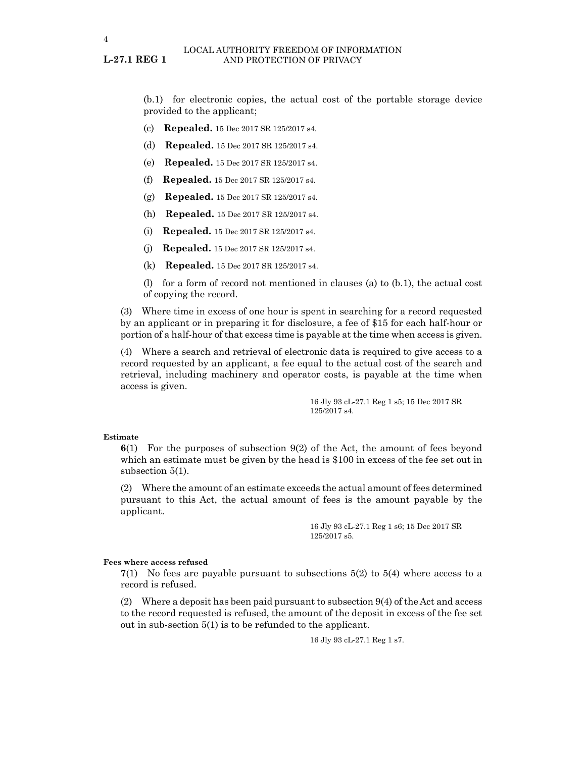**L-27.1 REG 1**

(b.1) for electronic copies, the actual cost of the portable storage device provided to the applicant;

- (c) **Repealed.** 15 Dec 2017 SR 125/2017 s4.
- (d) **Repealed.** 15 Dec 2017 SR 125/2017 s4.
- (e) **Repealed.** 15 Dec 2017 SR 125/2017 s4.
- (f) **Repealed.** 15 Dec 2017 SR 125/2017 s4.
- (g) **Repealed.** 15 Dec 2017 SR 125/2017 s4.
- (h) **Repealed.** 15 Dec 2017 SR 125/2017 s4.
- (i) **Repealed.** 15 Dec 2017 SR 125/2017 s4.
- (j) **Repealed.** 15 Dec 2017 SR 125/2017 s4.
- (k) **Repealed.** 15 Dec 2017 SR 125/2017 s4.

(l) for a form of record not mentioned in clauses (a) to (b.1), the actual cost of copying the record.

(3) Where time in excess of one hour is spent in searching for a record requested by an applicant or in preparing it for disclosure, a fee of \$15 for each half-hour or portion of a half-hour of that excess time is payable at the time when access is given.

(4) Where a search and retrieval of electronic data is required to give access to a record requested by an applicant, a fee equal to the actual cost of the search and retrieval, including machinery and operator costs, is payable at the time when access is given.

> 16 Jly 93 cL-27.1 Reg 1 s5; 15 Dec 2017 SR 125/2017 s4.

#### **Estimate**

**6**(1) For the purposes of subsection 9(2) of the Act, the amount of fees beyond which an estimate must be given by the head is \$100 in excess of the fee set out in subsection 5(1).

(2) Where the amount of an estimate exceeds the actual amount of fees determined pursuant to this Act, the actual amount of fees is the amount payable by the applicant.

> 16 Jly 93 cL-27.1 Reg 1 s6; 15 Dec 2017 SR 125/2017 s5.

#### **Fees where access refused**

**7**(1) No fees are payable pursuant to subsections 5(2) to 5(4) where access to a record is refused.

(2) Where a deposit has been paid pursuant to subsection 9(4) of the Act and access to the record requested is refused, the amount of the deposit in excess of the fee set out in sub-section 5(1) is to be refunded to the applicant.

16 Jly 93 cL-27.1 Reg 1 s7.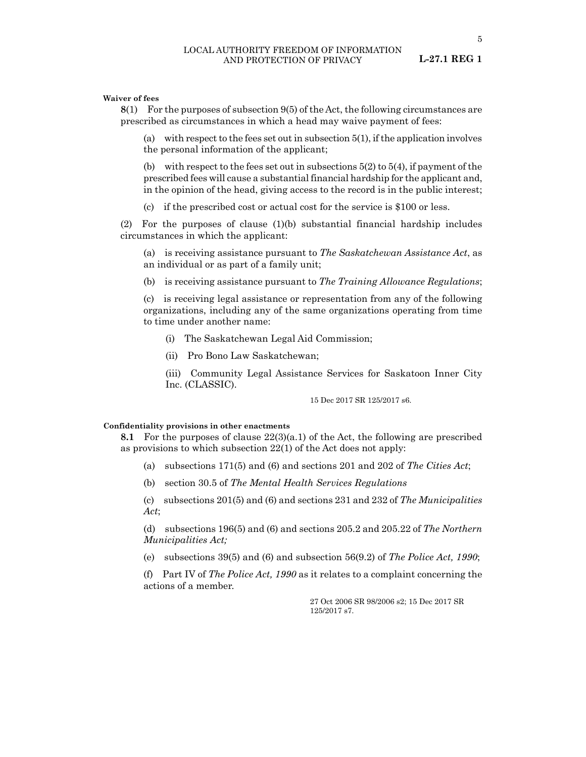5

#### **Waiver of fees**

**8**(1) For the purposes of subsection 9(5) of the Act, the following circumstances are prescribed as circumstances in which a head may waive payment of fees:

(a) with respect to the fees set out in subsection 5(1), if the application involves the personal information of the applicant;

(b) with respect to the fees set out in subsections  $5(2)$  to  $5(4)$ , if payment of the prescribed fees will cause a substantial financial hardship for the applicant and, in the opinion of the head, giving access to the record is in the public interest;

(c) if the prescribed cost or actual cost for the service is \$100 or less.

(2) For the purposes of clause (1)(b) substantial financial hardship includes circumstances in which the applicant:

(a) is receiving assistance pursuant to *The Saskatchewan Assistance Act*, as an individual or as part of a family unit;

(b) is receiving assistance pursuant to *The Training Allowance Regulations*;

(c) is receiving legal assistance or representation from any of the following organizations, including any of the same organizations operating from time to time under another name:

- (i) The Saskatchewan Legal Aid Commission;
- (ii) Pro Bono Law Saskatchewan;

(iii) Community Legal Assistance Services for Saskatoon Inner City Inc. (CLASSIC).

15 Dec 2017 SR 125/2017 s6.

#### **Confidentiality provisions in other enactments**

**8.1** For the purposes of clause  $22(3)(a.1)$  of the Act, the following are prescribed as provisions to which subsection 22(1) of the Act does not apply:

- (a) subsections 171(5) and (6) and sections 201 and 202 of *The Cities Act*;
- (b) section 30.5 of *The Mental Health Services Regulations*

(c) subsections 201(5) and (6) and sections 231 and 232 of *The Municipalities Act*;

(d) subsections 196(5) and (6) and sections 205.2 and 205.22 of *The Northern Municipalities Act;*

(e) subsections 39(5) and (6) and subsection 56(9.2) of *The Police Act, 1990*;

(f) Part IV of *The Police Act, 1990* as it relates to a complaint concerning the actions of a member.

> 27 Oct 2006 SR 98/2006 s2; 15 Dec 2017 SR 125/2017 s7.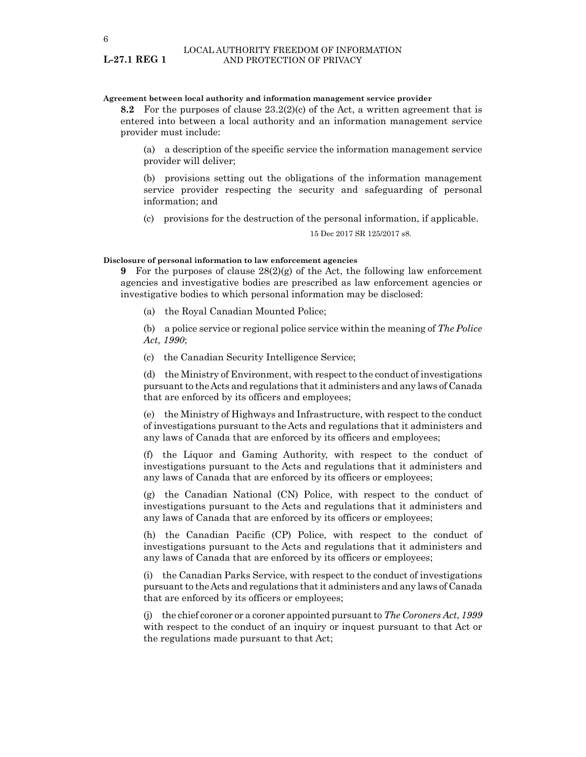#### **Agreement between local authority and information management service provider**

**8.2** For the purposes of clause 23.2(2)(c) of the Act, a written agreement that is entered into between a local authority and an information management service provider must include:

(a) a description of the specific service the information management service provider will deliver;

(b) provisions setting out the obligations of the information management service provider respecting the security and safeguarding of personal information; and

(c) provisions for the destruction of the personal information, if applicable.

15 Dec 2017 SR 125/2017 s8.

#### **Disclosure of personal information to law enforcement agencies**

**9** For the purposes of clause 28(2)(g) of the Act, the following law enforcement agencies and investigative bodies are prescribed as law enforcement agencies or investigative bodies to which personal information may be disclosed:

(a) the Royal Canadian Mounted Police;

(b) a police service or regional police service within the meaning of *The Police Act, 1990*;

(c) the Canadian Security Intelligence Service;

(d) the Ministry of Environment, with respect to the conduct of investigations pursuant to the Acts and regulations that it administers and any laws of Canada that are enforced by its officers and employees;

(e) the Ministry of Highways and Infrastructure, with respect to the conduct of investigations pursuant to the Acts and regulations that it administers and any laws of Canada that are enforced by its officers and employees;

(f) the Liquor and Gaming Authority, with respect to the conduct of investigations pursuant to the Acts and regulations that it administers and any laws of Canada that are enforced by its officers or employees;

(g) the Canadian National (CN) Police, with respect to the conduct of investigations pursuant to the Acts and regulations that it administers and any laws of Canada that are enforced by its officers or employees;

(h) the Canadian Pacific (CP) Police, with respect to the conduct of investigations pursuant to the Acts and regulations that it administers and any laws of Canada that are enforced by its officers or employees;

(i) the Canadian Parks Service, with respect to the conduct of investigations pursuant to the Acts and regulations that it administers and any laws of Canada that are enforced by its officers or employees;

(j) the chief coroner or a coroner appointed pursuant to *The Coroners Act*, *1999* with respect to the conduct of an inquiry or inquest pursuant to that Act or the regulations made pursuant to that Act;

**L-27.1 REG 1**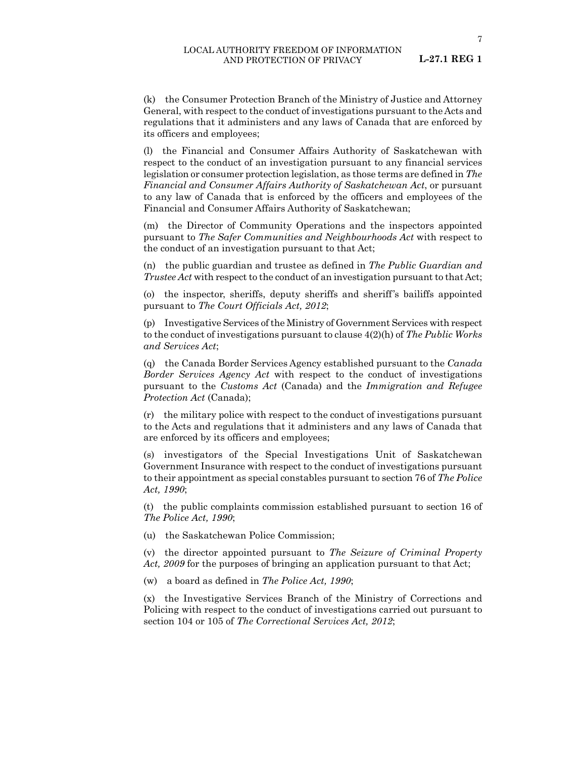(k) the Consumer Protection Branch of the Ministry of Justice and Attorney General, with respect to the conduct of investigations pursuant to the Acts and regulations that it administers and any laws of Canada that are enforced by its officers and employees;

(l) the Financial and Consumer Affairs Authority of Saskatchewan with respect to the conduct of an investigation pursuant to any financial services legislation or consumer protection legislation, as those terms are defined in *The Financial and Consumer Affairs Authority of Saskatchewan Act*, or pursuant to any law of Canada that is enforced by the officers and employees of the Financial and Consumer Affairs Authority of Saskatchewan;

(m) the Director of Community Operations and the inspectors appointed pursuant to *The Safer Communities and Neighbourhoods Act* with respect to the conduct of an investigation pursuant to that Act;

(n) the public guardian and trustee as defined in *The Public Guardian and Trustee Act* with respect to the conduct of an investigation pursuant to that Act;

(o) the inspector, sheriffs, deputy sheriffs and sheriff's bailiffs appointed pursuant to *The Court Officials Act, 2012*;

(p) Investigative Services of the Ministry of Government Services with respect to the conduct of investigations pursuant to clause 4(2)(h) of *The Public Works and Services Act*;

(q) the Canada Border Services Agency established pursuant to the *Canada Border Services Agency Act* with respect to the conduct of investigations pursuant to the *Customs Act* (Canada) and the *Immigration and Refugee Protection Act* (Canada);

(r) the military police with respect to the conduct of investigations pursuant to the Acts and regulations that it administers and any laws of Canada that are enforced by its officers and employees;

(s) investigators of the Special Investigations Unit of Saskatchewan Government Insurance with respect to the conduct of investigations pursuant to their appointment as special constables pursuant to section 76 of *The Police Act, 1990*;

(t) the public complaints commission established pursuant to section 16 of *The Police Act, 1990*;

(u) the Saskatchewan Police Commission;

(v) the director appointed pursuant to *The Seizure of Criminal Property Act, 2009* for the purposes of bringing an application pursuant to that Act;

(w) a board as defined in *The Police Act, 1990*;

(x) the Investigative Services Branch of the Ministry of Corrections and Policing with respect to the conduct of investigations carried out pursuant to section 104 or 105 of *The Correctional Services Act, 2012*;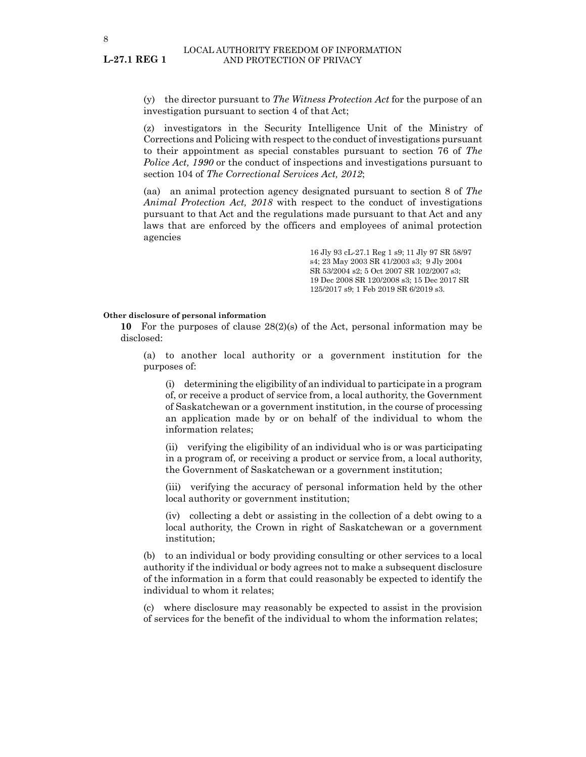**L-27.1 REG 1**

(y) the director pursuant to *The Witness Protection Act* for the purpose of an investigation pursuant to section 4 of that Act;

(z) investigators in the Security Intelligence Unit of the Ministry of Corrections and Policing with respect to the conduct of investigations pursuant to their appointment as special constables pursuant to section 76 of *The Police Act, 1990* or the conduct of inspections and investigations pursuant to section 104 of *The Correctional Services Act, 2012*;

(aa) an animal protection agency designated pursuant to section 8 of *The Animal Protection Act, 2018* with respect to the conduct of investigations pursuant to that Act and the regulations made pursuant to that Act and any laws that are enforced by the officers and employees of animal protection agencies

> 16 Jly 93 cL-27.1 Reg 1 s9; 11 Jly 97 SR 58/97 s4; 23 May 2003 SR 41/2003 s3; 9 Jly 2004 SR 53/2004 s2; 5 Oct 2007 SR 102/2007 s3; 19 Dec 2008 SR 120/2008 s3; 15 Dec 2017 SR 125/2017 s9; 1 Feb 2019 SR 6/2019 s3.

## **Other disclosure of personal information**

**10** For the purposes of clause 28(2)(s) of the Act, personal information may be disclosed:

(a) to another local authority or a government institution for the purposes of:

(i) determining the eligibility of an individual to participate in a program of, or receive a product of service from, a local authority, the Government of Saskatchewan or a government institution, in the course of processing an application made by or on behalf of the individual to whom the information relates;

(ii) verifying the eligibility of an individual who is or was participating in a program of, or receiving a product or service from, a local authority, the Government of Saskatchewan or a government institution;

(iii) verifying the accuracy of personal information held by the other local authority or government institution;

(iv) collecting a debt or assisting in the collection of a debt owing to a local authority, the Crown in right of Saskatchewan or a government institution;

(b) to an individual or body providing consulting or other services to a local authority if the individual or body agrees not to make a subsequent disclosure of the information in a form that could reasonably be expected to identify the individual to whom it relates;

(c) where disclosure may reasonably be expected to assist in the provision of services for the benefit of the individual to whom the information relates;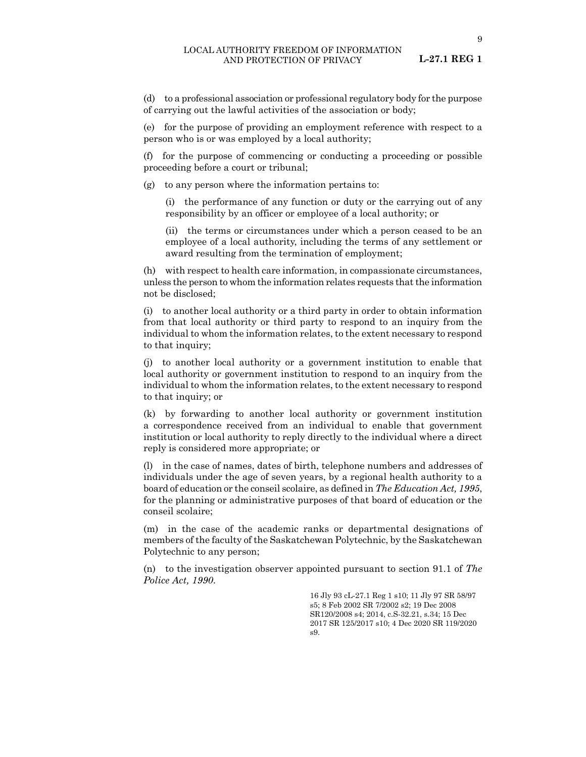#### LOCAL AUTHORITY FREEDOM OF INFORMATION AND PROTECTION OF PRIVACY

**L-27.1 REG 1**

(d) to a professional association or professional regulatory body for the purpose of carrying out the lawful activities of the association or body;

(e) for the purpose of providing an employment reference with respect to a person who is or was employed by a local authority;

(f) for the purpose of commencing or conducting a proceeding or possible proceeding before a court or tribunal;

(g) to any person where the information pertains to:

(i) the performance of any function or duty or the carrying out of any responsibility by an officer or employee of a local authority; or

(ii) the terms or circumstances under which a person ceased to be an employee of a local authority, including the terms of any settlement or award resulting from the termination of employment;

(h) with respect to health care information, in compassionate circumstances, unless the person to whom the information relates requests that the information not be disclosed;

(i) to another local authority or a third party in order to obtain information from that local authority or third party to respond to an inquiry from the individual to whom the information relates, to the extent necessary to respond to that inquiry;

(j) to another local authority or a government institution to enable that local authority or government institution to respond to an inquiry from the individual to whom the information relates, to the extent necessary to respond to that inquiry; or

(k) by forwarding to another local authority or government institution a correspondence received from an individual to enable that government institution or local authority to reply directly to the individual where a direct reply is considered more appropriate; or

(l) in the case of names, dates of birth, telephone numbers and addresses of individuals under the age of seven years, by a regional health authority to a board of education or the conseil scolaire, as defined in *The Education Act, 1995*, for the planning or administrative purposes of that board of education or the conseil scolaire;

(m) in the case of the academic ranks or departmental designations of members of the faculty of the Saskatchewan Polytechnic, by the Saskatchewan Polytechnic to any person;

(n) to the investigation observer appointed pursuant to section 91.1 of *The Police Act, 1990*.

> 16 Jly 93 cL-27.1 Reg 1 s10; 11 Jly 97 SR 58/97 s5; 8 Feb 2002 SR 7/2002 s2; 19 Dec 2008 SR120/2008 s4; 2014, c.S-32.21, s.34; 15 Dec 2017 SR 125/2017 s10; 4 Dec 2020 SR 119/2020 s9.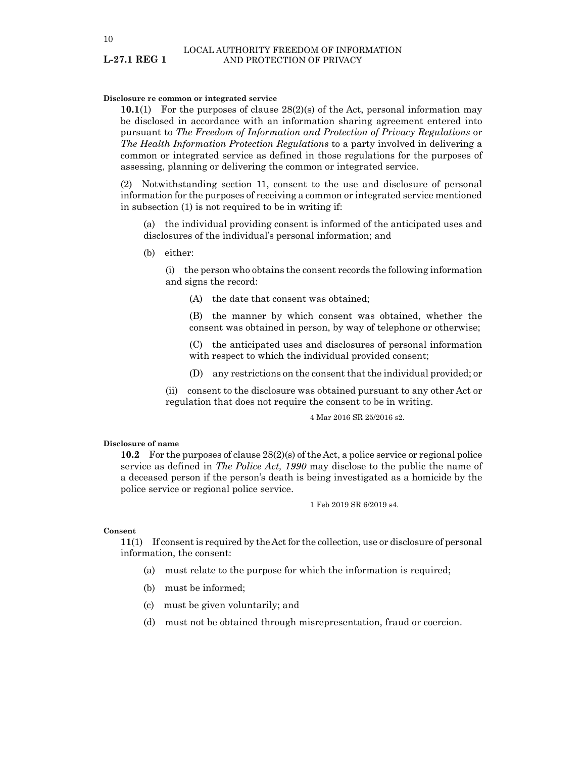10

**L-27.1 REG 1**

#### **Disclosure re common or integrated service**

**10.1**(1) For the purposes of clause 28(2)(s) of the Act, personal information may be disclosed in accordance with an information sharing agreement entered into pursuant to *The Freedom of Information and Protection of Privacy Regulations* or *The Health Information Protection Regulations* to a party involved in delivering a common or integrated service as defined in those regulations for the purposes of assessing, planning or delivering the common or integrated service.

(2) Notwithstanding section 11, consent to the use and disclosure of personal information for the purposes of receiving a common or integrated service mentioned in subsection (1) is not required to be in writing if:

(a) the individual providing consent is informed of the anticipated uses and disclosures of the individual's personal information; and

(b) either:

(i) the person who obtains the consent records the following information and signs the record:

(A) the date that consent was obtained;

(B) the manner by which consent was obtained, whether the consent was obtained in person, by way of telephone or otherwise;

(C) the anticipated uses and disclosures of personal information with respect to which the individual provided consent;

(D) any restrictions on the consent that the individual provided; or

(ii) consent to the disclosure was obtained pursuant to any other Act or regulation that does not require the consent to be in writing.

4 Mar 2016 SR 25/2016 s2.

#### **Disclosure of name**

**10.2** For the purposes of clause 28(2)(s) of the Act, a police service or regional police service as defined in *The Police Act, 1990* may disclose to the public the name of a deceased person if the person's death is being investigated as a homicide by the police service or regional police service.

1 Feb 2019 SR 6/2019 s4.

#### **Consent**

**11**(1) If consent is required by the Act for the collection, use or disclosure of personal information, the consent:

- (a) must relate to the purpose for which the information is required;
- (b) must be informed;
- (c) must be given voluntarily; and
- (d) must not be obtained through misrepresentation, fraud or coercion.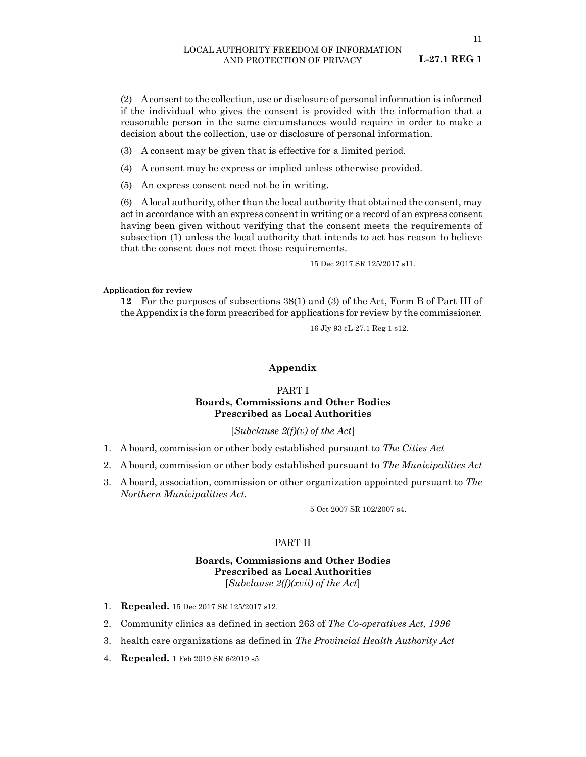(2) A consent to the collection, use or disclosure of personal information is informed if the individual who gives the consent is provided with the information that a reasonable person in the same circumstances would require in order to make a decision about the collection, use or disclosure of personal information.

(3) A consent may be given that is effective for a limited period.

(4) A consent may be express or implied unless otherwise provided.

(5) An express consent need not be in writing.

(6) A local authority, other than the local authority that obtained the consent, may act in accordance with an express consent in writing or a record of an express consent having been given without verifying that the consent meets the requirements of subsection (1) unless the local authority that intends to act has reason to believe that the consent does not meet those requirements.

15 Dec 2017 SR 125/2017 s11.

#### **Application for review**

**12** For the purposes of subsections 38(1) and (3) of the Act, Form B of Part III of the Appendix is the form prescribed for applications for review by the commissioner.

16 Jly 93 cL-27.1 Reg 1 s12.

## **Appendix**

# PART I **Boards, Commissions and Other Bodies Prescribed as Local Authorities**

[*Subclause 2(f)(v) of the Act*]

- 1. A board, commission or other body established pursuant to *The Cities Act*
- 2. A board, commission or other body established pursuant to *The Municipalities Act*
- 3. A board, association, commission or other organization appointed pursuant to *The Northern Municipalities Act.*

5 Oct 2007 SR 102/2007 s4.

# PART II

# **Boards, Commissions and Other Bodies Prescribed as Local Authorities** [*Subclause 2(f)(xvii) of the Act*]

- 1. **Repealed.** 15 Dec 2017 SR 125/2017 s12.
- 2. Community clinics as defined in section 263 of *The Co-operatives Act, 1996*
- 3. health care organizations as defined in *The Provincial Health Authority Act*
- 4. **Repealed.** 1 Feb 2019 SR 6/2019 s5.

**L-27.1 REG 1**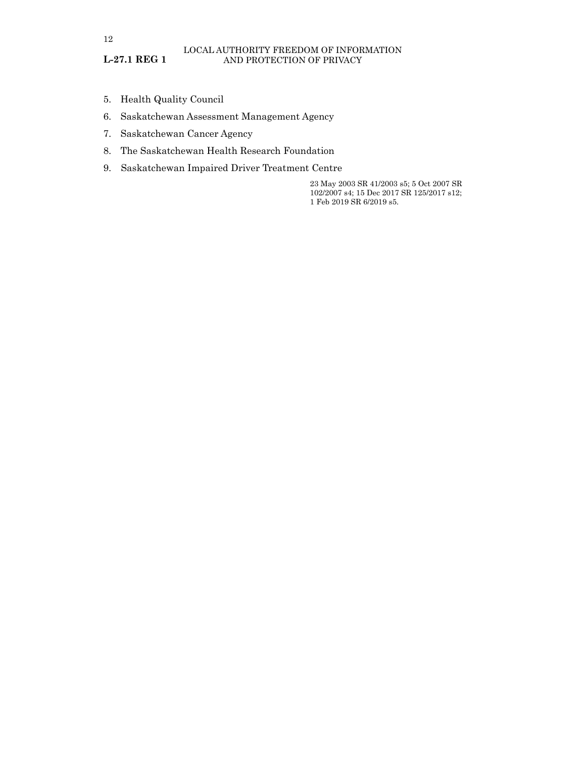- 5. Health Quality Council
- 6. Saskatchewan Assessment Management Agency
- 7. Saskatchewan Cancer Agency
- 8. The Saskatchewan Health Research Foundation
- 9. Saskatchewan Impaired Driver Treatment Centre

23 May 2003 SR 41/2003 s5; 5 Oct 2007 SR 102/2007 s4; 15 Dec 2017 SR 125/2017 s12; 1 Feb 2019 SR 6/2019 s5.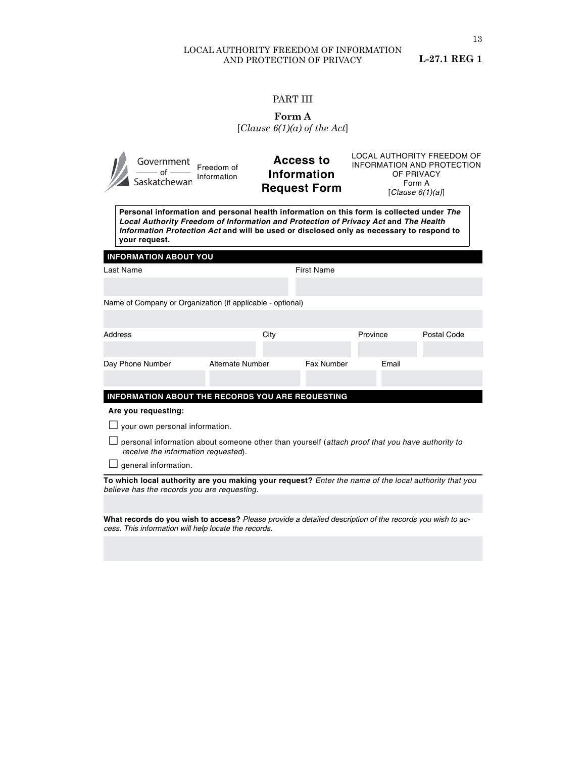# LOCAL AUTHORITY FREEDOM OF INFORMATION AND PROTECTION OF PRIVACY

**L-27.1 REG 1**

# PART III

| ırm<br>11 |  |
|-----------|--|
|-----------|--|

| Government<br>Of —<br>Saskatchewan                                                                                                                                                                                                                                                           | Freedom of<br>Information |      | <b>LOCAL AUTHORITY FREEDOM OF</b><br><b>Access to</b><br><b>INFORMATION AND PROTECTION</b><br>Information<br>OF PRIVACY<br>Form A<br><b>Request Form</b><br>[Clause $6(1)(a)$ ] |          |       |             |
|----------------------------------------------------------------------------------------------------------------------------------------------------------------------------------------------------------------------------------------------------------------------------------------------|---------------------------|------|---------------------------------------------------------------------------------------------------------------------------------------------------------------------------------|----------|-------|-------------|
| Personal information and personal health information on this form is collected under The<br>Local Authority Freedom of Information and Protection of Privacy Act and The Health<br>Information Protection Act and will be used or disclosed only as necessary to respond to<br>your request. |                           |      |                                                                                                                                                                                 |          |       |             |
| <b>INFORMATION ABOUT YOU</b>                                                                                                                                                                                                                                                                 |                           |      |                                                                                                                                                                                 |          |       |             |
| <b>First Name</b><br>Last Name                                                                                                                                                                                                                                                               |                           |      |                                                                                                                                                                                 |          |       |             |
|                                                                                                                                                                                                                                                                                              |                           |      |                                                                                                                                                                                 |          |       |             |
| Name of Company or Organization (if applicable - optional)                                                                                                                                                                                                                                   |                           |      |                                                                                                                                                                                 |          |       |             |
|                                                                                                                                                                                                                                                                                              |                           |      |                                                                                                                                                                                 |          |       |             |
| Address                                                                                                                                                                                                                                                                                      |                           | City |                                                                                                                                                                                 | Province |       | Postal Code |
|                                                                                                                                                                                                                                                                                              |                           |      |                                                                                                                                                                                 |          |       |             |
| Day Phone Number                                                                                                                                                                                                                                                                             | <b>Alternate Number</b>   |      | Fax Number                                                                                                                                                                      |          | Email |             |
|                                                                                                                                                                                                                                                                                              |                           |      |                                                                                                                                                                                 |          |       |             |
| INFORMATION ABOUT THE RECORDS YOU ARE REQUESTING                                                                                                                                                                                                                                             |                           |      |                                                                                                                                                                                 |          |       |             |
| Are you requesting:                                                                                                                                                                                                                                                                          |                           |      |                                                                                                                                                                                 |          |       |             |
| your own personal information.                                                                                                                                                                                                                                                               |                           |      |                                                                                                                                                                                 |          |       |             |
| personal information about someone other than yourself (attach proof that you have authority to<br>receive the information requested).                                                                                                                                                       |                           |      |                                                                                                                                                                                 |          |       |             |
| general information.                                                                                                                                                                                                                                                                         |                           |      |                                                                                                                                                                                 |          |       |             |
| To which local authority are you making your request? Enter the name of the local authority that you<br>believe has the records you are requesting.                                                                                                                                          |                           |      |                                                                                                                                                                                 |          |       |             |
|                                                                                                                                                                                                                                                                                              |                           |      |                                                                                                                                                                                 |          |       |             |
| What records do you wish to access? Please provide a detailed description of the records you wish to ac-<br>cess. This information will help locate the records.                                                                                                                             |                           |      |                                                                                                                                                                                 |          |       |             |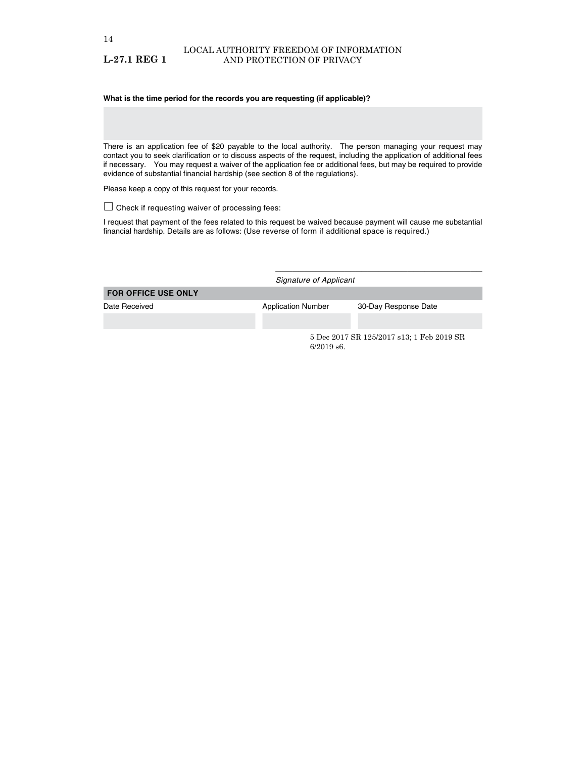#### **What is the time period for the records you are requesting (if applicable)?**

There is an application fee of \$20 payable to the local authority. The person managing your request may contact you to seek clarification or to discuss aspects of the request, including the application of additional fees if necessary. You may request a waiver of the application fee or additional fees, but may be required to provide evidence of substantial financial hardship (see section 8 of the regulations).

Please keep a copy of this request for your records.

 $\square$  Check if requesting waiver of processing fees:

I request that payment of the fees related to this request be waived because payment will cause me substantial financial hardship. Details are as follows: (Use reverse of form if additional space is required.)

|                            |                           | Signature of Applicant                    |  |  |  |
|----------------------------|---------------------------|-------------------------------------------|--|--|--|
| <b>FOR OFFICE USE ONLY</b> |                           |                                           |  |  |  |
| Date Received              | <b>Application Number</b> | 30-Day Response Date                      |  |  |  |
|                            |                           |                                           |  |  |  |
|                            | $6/2019$ s6.              | 5 Dec 2017 SR 125/2017 s13; 1 Feb 2019 SR |  |  |  |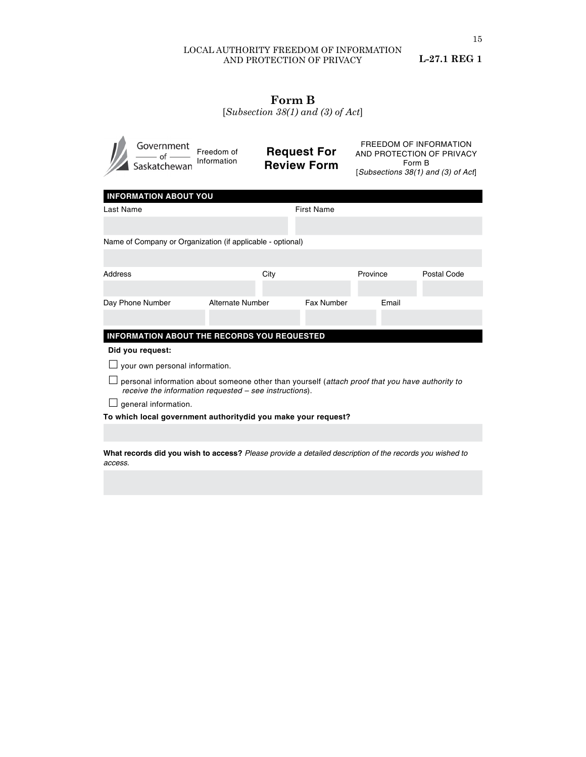# LOCAL AUTHORITY FREEDOM OF INFORMATION AND PROTECTION OF PRIVACY

**L-27.1 REG 1**

# **Form B**

[*Subsection 38(1) and (3) of Act*]

|                                                                                                                                                           | Government<br>Saskatchewan                      | Freedom of<br>Information                                  | <b>Request For</b><br><b>Review Form</b> |                                                                            | <b>FREEDOM OF INFORMATION</b><br>AND PROTECTION OF PRIVACY<br>Form B<br>[Subsections 38(1) and (3) of Act] |       |             |
|-----------------------------------------------------------------------------------------------------------------------------------------------------------|-------------------------------------------------|------------------------------------------------------------|------------------------------------------|----------------------------------------------------------------------------|------------------------------------------------------------------------------------------------------------|-------|-------------|
|                                                                                                                                                           | <b>INFORMATION ABOUT YOU</b>                    |                                                            |                                          |                                                                            |                                                                                                            |       |             |
| Last Name                                                                                                                                                 |                                                 |                                                            |                                          | <b>First Name</b>                                                          |                                                                                                            |       |             |
|                                                                                                                                                           |                                                 |                                                            |                                          |                                                                            |                                                                                                            |       |             |
|                                                                                                                                                           |                                                 | Name of Company or Organization (if applicable - optional) |                                          |                                                                            |                                                                                                            |       |             |
|                                                                                                                                                           |                                                 |                                                            |                                          |                                                                            |                                                                                                            |       |             |
| Address                                                                                                                                                   |                                                 |                                                            | City                                     |                                                                            | Province                                                                                                   |       | Postal Code |
|                                                                                                                                                           |                                                 |                                                            |                                          |                                                                            |                                                                                                            |       |             |
| Day Phone Number                                                                                                                                          |                                                 | Alternate Number                                           |                                          | Fax Number                                                                 |                                                                                                            | Email |             |
|                                                                                                                                                           |                                                 |                                                            |                                          |                                                                            |                                                                                                            |       |             |
| INFORMATION ABOUT THE RECORDS YOU REQUESTED                                                                                                               |                                                 |                                                            |                                          |                                                                            |                                                                                                            |       |             |
|                                                                                                                                                           | Did you request:                                |                                                            |                                          |                                                                            |                                                                                                            |       |             |
| your own personal information.                                                                                                                            |                                                 |                                                            |                                          |                                                                            |                                                                                                            |       |             |
| personal information about someone other than yourself (attach proof that you have authority to<br>receive the information requested – see instructions). |                                                 |                                                            |                                          |                                                                            |                                                                                                            |       |             |
| general information.                                                                                                                                      |                                                 |                                                            |                                          |                                                                            |                                                                                                            |       |             |
| To which local government authoritydid you make your request?                                                                                             |                                                 |                                                            |                                          |                                                                            |                                                                                                            |       |             |
|                                                                                                                                                           |                                                 |                                                            |                                          |                                                                            |                                                                                                            |       |             |
|                                                                                                                                                           | دما مه مامان، ، ، ، ، ، ، اماله امام، مصدر به ، |                                                            |                                          | .0. Dissas pusciale a deteiled descubition of the personal conceptional to |                                                                                                            |       |             |

**What records did you wish to access?** *Please provide a detailed description of the records you wished to access.*